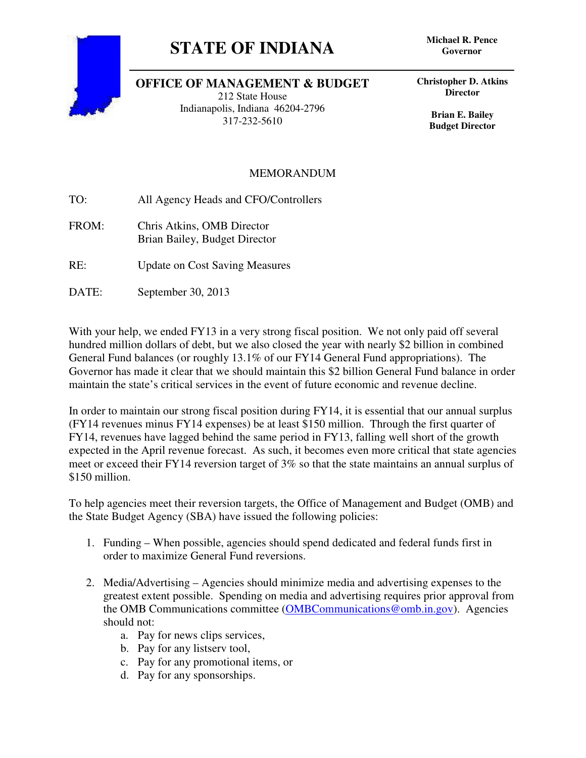## **STATE OF INDIANA Michael R. Pence**



## **OFFICE OF MANAGEMENT & BUDGET**

212 State House Indianapolis, Indiana 46204-2796 317-232-5610

**Governor**

**Christopher D. Atkins Director** 

> **Brian E. Bailey Budget Director**

## MEMORANDUM

TO: All Agency Heads and CFO/Controllers

- FROM: Chris Atkins, OMB Director Brian Bailey, Budget Director
- RE: Update on Cost Saving Measures
- DATE: September 30, 2013

With your help, we ended FY13 in a very strong fiscal position. We not only paid off several hundred million dollars of debt, but we also closed the year with nearly \$2 billion in combined General Fund balances (or roughly 13.1% of our FY14 General Fund appropriations). The Governor has made it clear that we should maintain this \$2 billion General Fund balance in order maintain the state's critical services in the event of future economic and revenue decline.

In order to maintain our strong fiscal position during FY14, it is essential that our annual surplus (FY14 revenues minus FY14 expenses) be at least \$150 million. Through the first quarter of FY14, revenues have lagged behind the same period in FY13, falling well short of the growth expected in the April revenue forecast. As such, it becomes even more critical that state agencies meet or exceed their FY14 reversion target of 3% so that the state maintains an annual surplus of \$150 million.

To help agencies meet their reversion targets, the Office of Management and Budget (OMB) and the State Budget Agency (SBA) have issued the following policies:

- 1. Funding When possible, agencies should spend dedicated and federal funds first in order to maximize General Fund reversions.
- 2. Media/Advertising Agencies should minimize media and advertising expenses to the greatest extent possible. Spending on media and advertising requires prior approval from the OMB Communications committee (OMBCommunications@omb.in.gov). Agencies should not:
	- a. Pay for news clips services,
	- b. Pay for any listserv tool,
	- c. Pay for any promotional items, or
	- d. Pay for any sponsorships.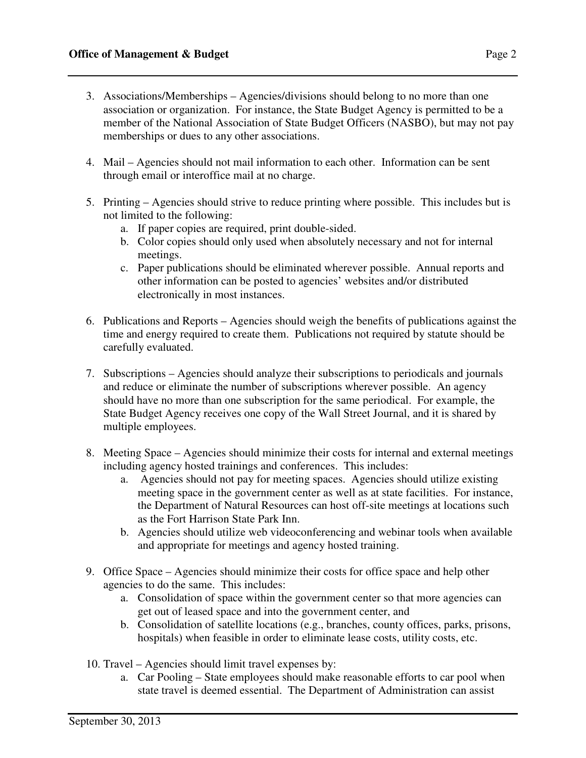- 3. Associations/Memberships Agencies/divisions should belong to no more than one association or organization. For instance, the State Budget Agency is permitted to be a member of the National Association of State Budget Officers (NASBO), but may not pay memberships or dues to any other associations.
- 4. Mail Agencies should not mail information to each other. Information can be sent through email or interoffice mail at no charge.
- 5. Printing Agencies should strive to reduce printing where possible. This includes but is not limited to the following:
	- a. If paper copies are required, print double-sided.
	- b. Color copies should only used when absolutely necessary and not for internal meetings.
	- c. Paper publications should be eliminated wherever possible. Annual reports and other information can be posted to agencies' websites and/or distributed electronically in most instances.
- 6. Publications and Reports Agencies should weigh the benefits of publications against the time and energy required to create them. Publications not required by statute should be carefully evaluated.
- 7. Subscriptions Agencies should analyze their subscriptions to periodicals and journals and reduce or eliminate the number of subscriptions wherever possible. An agency should have no more than one subscription for the same periodical. For example, the State Budget Agency receives one copy of the Wall Street Journal, and it is shared by multiple employees.
- 8. Meeting Space Agencies should minimize their costs for internal and external meetings including agency hosted trainings and conferences. This includes:
	- a. Agencies should not pay for meeting spaces. Agencies should utilize existing meeting space in the government center as well as at state facilities. For instance, the Department of Natural Resources can host off-site meetings at locations such as the Fort Harrison State Park Inn.
	- b. Agencies should utilize web videoconferencing and webinar tools when available and appropriate for meetings and agency hosted training.
- 9. Office Space Agencies should minimize their costs for office space and help other agencies to do the same. This includes:
	- a. Consolidation of space within the government center so that more agencies can get out of leased space and into the government center, and
	- b. Consolidation of satellite locations (e.g., branches, county offices, parks, prisons, hospitals) when feasible in order to eliminate lease costs, utility costs, etc.
- 10. Travel Agencies should limit travel expenses by:
	- a. Car Pooling State employees should make reasonable efforts to car pool when state travel is deemed essential. The Department of Administration can assist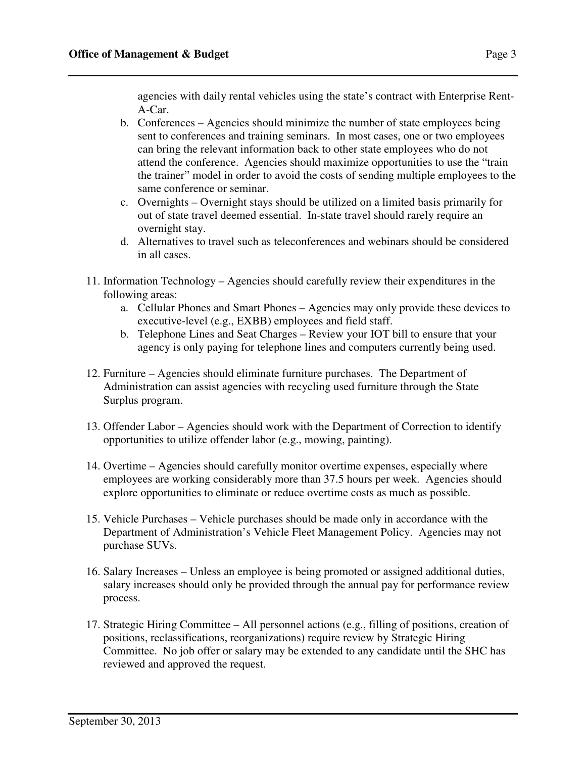agencies with daily rental vehicles using the state's contract with Enterprise Rent-A-Car.

- b. Conferences Agencies should minimize the number of state employees being sent to conferences and training seminars. In most cases, one or two employees can bring the relevant information back to other state employees who do not attend the conference. Agencies should maximize opportunities to use the "train the trainer" model in order to avoid the costs of sending multiple employees to the same conference or seminar.
- c. Overnights Overnight stays should be utilized on a limited basis primarily for out of state travel deemed essential. In-state travel should rarely require an overnight stay.
- d. Alternatives to travel such as teleconferences and webinars should be considered in all cases.
- 11. Information Technology Agencies should carefully review their expenditures in the following areas:
	- a. Cellular Phones and Smart Phones Agencies may only provide these devices to executive-level (e.g., EXBB) employees and field staff.
	- b. Telephone Lines and Seat Charges Review your IOT bill to ensure that your agency is only paying for telephone lines and computers currently being used.
- 12. Furniture Agencies should eliminate furniture purchases. The Department of Administration can assist agencies with recycling used furniture through the State Surplus program.
- 13. Offender Labor Agencies should work with the Department of Correction to identify opportunities to utilize offender labor (e.g., mowing, painting).
- 14. Overtime Agencies should carefully monitor overtime expenses, especially where employees are working considerably more than 37.5 hours per week. Agencies should explore opportunities to eliminate or reduce overtime costs as much as possible.
- 15. Vehicle Purchases Vehicle purchases should be made only in accordance with the Department of Administration's Vehicle Fleet Management Policy. Agencies may not purchase SUVs.
- 16. Salary Increases Unless an employee is being promoted or assigned additional duties, salary increases should only be provided through the annual pay for performance review process.
- 17. Strategic Hiring Committee All personnel actions (e.g., filling of positions, creation of positions, reclassifications, reorganizations) require review by Strategic Hiring Committee. No job offer or salary may be extended to any candidate until the SHC has reviewed and approved the request.